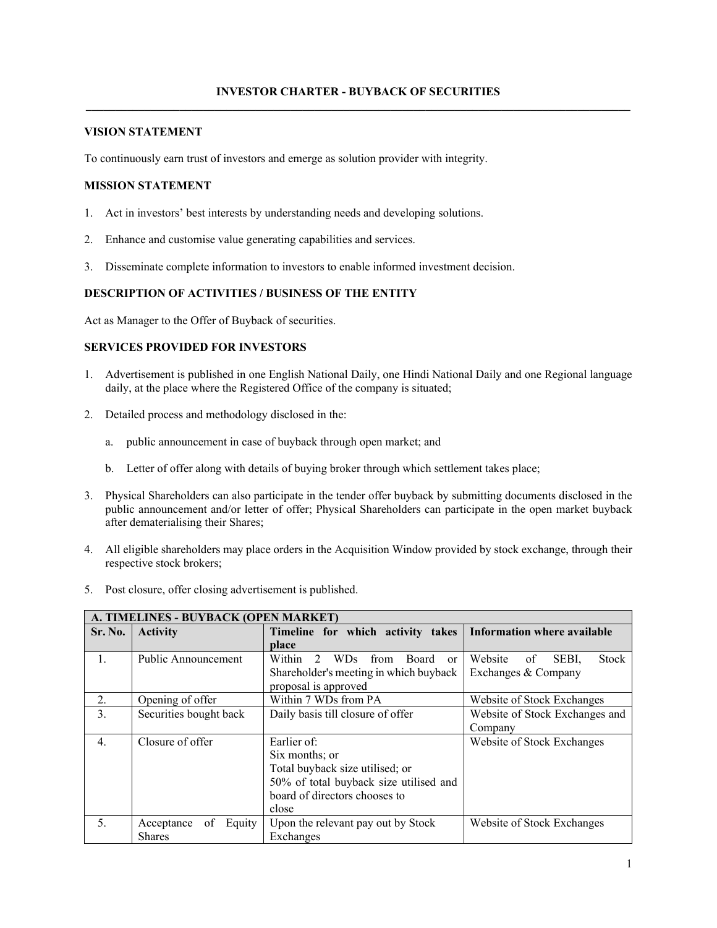### **VISION STATEMENT**

To continuously earn trust of investors and emerge as solution provider with integrity.

#### **MISSION STATEMENT**

- 1. Act in investors' best interests by understanding needs and developing solutions.
- 2. Enhance and customise value generating capabilities and services.
- 3. Disseminate complete information to investors to enable informed investment decision.

# **DESCRIPTION OF ACTIVITIES / BUSINESS OF THE ENTITY**

Act as Manager to the Offer of Buyback of securities.

# **SERVICES PROVIDED FOR INVESTORS**

- 1. Advertisement is published in one English National Daily, one Hindi National Daily and one Regional language daily, at the place where the Registered Office of the company is situated;
- 2. Detailed process and methodology disclosed in the:
	- a. public announcement in case of buyback through open market; and
	- b. Letter of offer along with details of buying broker through which settlement takes place;
- 3. Physical Shareholders can also participate in the tender offer buyback by submitting documents disclosed in the public announcement and/or letter of offer; Physical Shareholders can participate in the open market buyback after dematerialising their Shares;
- 4. All eligible shareholders may place orders in the Acquisition Window provided by stock exchange, through their respective stock brokers;
- 5. Post closure, offer closing advertisement is published.

| A. TIMELINES - BUYBACK (OPEN MARKET) |                            |                                                              |                                        |  |  |  |
|--------------------------------------|----------------------------|--------------------------------------------------------------|----------------------------------------|--|--|--|
| Sr. No.                              | <b>Activity</b>            | Timeline for which activity takes                            | <b>Information where available</b>     |  |  |  |
|                                      |                            | place                                                        |                                        |  |  |  |
| $\mathbf{1}$ .                       | Public Announcement        | Within<br>$\mathcal{D}$<br>from<br>WDs.<br>Board<br>$\alpha$ | Website<br>SEBI,<br><b>Stock</b><br>of |  |  |  |
|                                      |                            | Shareholder's meeting in which buyback                       | Exchanges & Company                    |  |  |  |
|                                      |                            | proposal is approved                                         |                                        |  |  |  |
| $2$ .                                | Opening of offer           | Within 7 WDs from PA                                         | Website of Stock Exchanges             |  |  |  |
| 3.                                   | Securities bought back     | Daily basis till closure of offer                            | Website of Stock Exchanges and         |  |  |  |
|                                      |                            |                                                              | Company                                |  |  |  |
| $\overline{4}$ .                     | Closure of offer           | Earlier of:                                                  | Website of Stock Exchanges             |  |  |  |
|                                      |                            | Six months; or                                               |                                        |  |  |  |
|                                      |                            | Total buyback size utilised; or                              |                                        |  |  |  |
|                                      |                            | 50% of total buyback size utilised and                       |                                        |  |  |  |
|                                      |                            | board of directors chooses to                                |                                        |  |  |  |
|                                      |                            | close                                                        |                                        |  |  |  |
| 5.                                   | Equity<br>of<br>Acceptance | Upon the relevant pay out by Stock                           | Website of Stock Exchanges             |  |  |  |
|                                      | <b>Shares</b>              | Exchanges                                                    |                                        |  |  |  |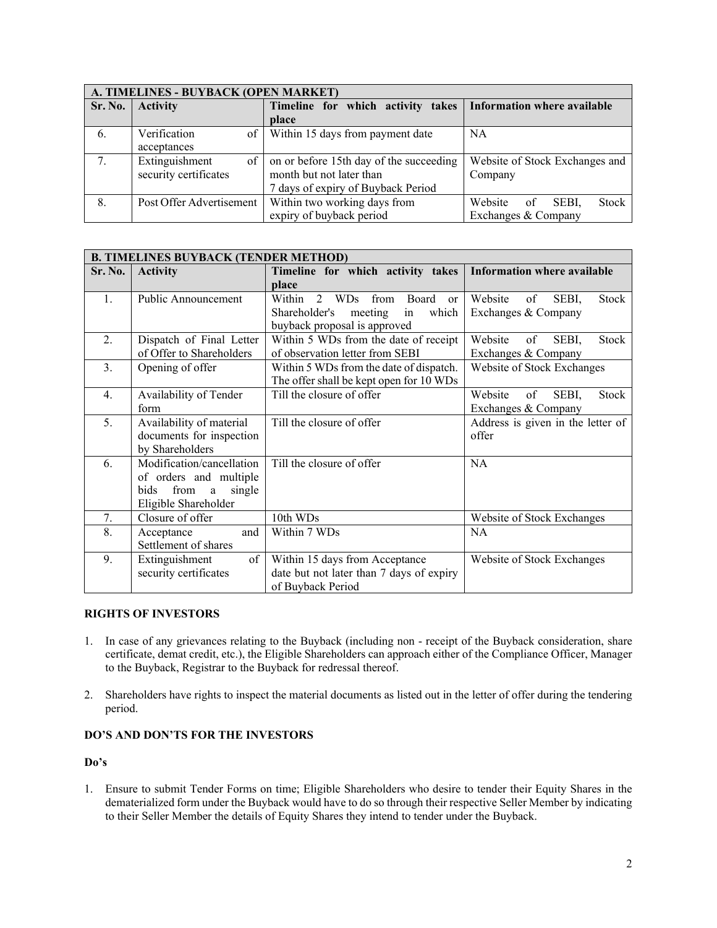| A. TIMELINES - BUYBACK (OPEN MARKET)         |                          |                                         |                                    |  |  |  |  |
|----------------------------------------------|--------------------------|-----------------------------------------|------------------------------------|--|--|--|--|
| Sr. No.                                      | <b>Activity</b>          | Timeline for which activity takes       | <b>Information where available</b> |  |  |  |  |
|                                              |                          | place                                   |                                    |  |  |  |  |
| -6.                                          | Verification<br>of       | Within 15 days from payment date        | <b>NA</b>                          |  |  |  |  |
|                                              | acceptances              |                                         |                                    |  |  |  |  |
| $7_{\scriptscriptstyle{\ddot{\phantom{1}}}}$ | Extinguishment<br>of     | on or before 15th day of the succeeding | Website of Stock Exchanges and     |  |  |  |  |
|                                              | security certificates    | month but not later than                | Company                            |  |  |  |  |
|                                              |                          | 7 days of expiry of Buyback Period      |                                    |  |  |  |  |
| 8.                                           | Post Offer Advertisement | Within two working days from            | Stock<br>Website<br>of<br>SEBI.    |  |  |  |  |
|                                              |                          | expiry of buyback period                | Exchanges & Company                |  |  |  |  |

| <b>B. TIMELINES BUYBACK (TENDER METHOD)</b> |                             |                                                                                 |                                        |  |  |  |  |
|---------------------------------------------|-----------------------------|---------------------------------------------------------------------------------|----------------------------------------|--|--|--|--|
| Sr. No.                                     | <b>Activity</b>             | Timeline for which activity takes                                               | <b>Information where available</b>     |  |  |  |  |
|                                             |                             | place                                                                           |                                        |  |  |  |  |
| 1.                                          | <b>Public Announcement</b>  | $\overline{2}$<br>from<br>Within<br><b>WDs</b><br><b>Board</b><br><sub>or</sub> | Website<br>of<br>Stock<br>SEBI,        |  |  |  |  |
|                                             |                             | Shareholder's<br>which<br>Exchanges & Company<br>meeting<br>in                  |                                        |  |  |  |  |
|                                             |                             | buyback proposal is approved                                                    |                                        |  |  |  |  |
| 2.                                          | Dispatch of Final Letter    | Within 5 WDs from the date of receipt                                           | Website<br>Stock<br>of<br>SEBI,        |  |  |  |  |
|                                             | of Offer to Shareholders    | of observation letter from SEBI                                                 | Exchanges & Company                    |  |  |  |  |
| $\mathfrak{Z}$ .                            | Opening of offer            | Within 5 WDs from the date of dispatch.                                         | Website of Stock Exchanges             |  |  |  |  |
|                                             |                             | The offer shall be kept open for 10 WDs                                         |                                        |  |  |  |  |
| $\overline{4}$ .                            | Availability of Tender      | Till the closure of offer                                                       | Website<br>of<br>SEBI,<br><b>Stock</b> |  |  |  |  |
|                                             | form                        |                                                                                 | Exchanges & Company                    |  |  |  |  |
| 5.                                          | Availability of material    | Till the closure of offer                                                       | Address is given in the letter of      |  |  |  |  |
|                                             | documents for inspection    |                                                                                 | offer                                  |  |  |  |  |
|                                             | by Shareholders             |                                                                                 |                                        |  |  |  |  |
| 6.                                          | Modification/cancellation   | Till the closure of offer                                                       | <b>NA</b>                              |  |  |  |  |
|                                             | of orders and multiple      |                                                                                 |                                        |  |  |  |  |
|                                             | from<br>single<br>bids<br>a |                                                                                 |                                        |  |  |  |  |
|                                             | Eligible Shareholder        |                                                                                 |                                        |  |  |  |  |
| 7.                                          | Closure of offer            | 10th WDs                                                                        | Website of Stock Exchanges             |  |  |  |  |
| 8.                                          | and<br>Acceptance           | Within 7 WDs                                                                    | <b>NA</b>                              |  |  |  |  |
|                                             | Settlement of shares        |                                                                                 |                                        |  |  |  |  |
| 9.                                          | of<br>Extinguishment        | Within 15 days from Acceptance                                                  | Website of Stock Exchanges             |  |  |  |  |
|                                             | security certificates       | date but not later than 7 days of expiry                                        |                                        |  |  |  |  |
|                                             |                             | of Buyback Period                                                               |                                        |  |  |  |  |

### **RIGHTS OF INVESTORS**

- 1. In case of any grievances relating to the Buyback (including non receipt of the Buyback consideration, share certificate, demat credit, etc.), the Eligible Shareholders can approach either of the Compliance Officer, Manager to the Buyback, Registrar to the Buyback for redressal thereof.
- 2. Shareholders have rights to inspect the material documents as listed out in the letter of offer during the tendering period.

# **DO'S AND DON'TS FOR THE INVESTORS**

#### **Do's**

1. Ensure to submit Tender Forms on time; Eligible Shareholders who desire to tender their Equity Shares in the dematerialized form under the Buyback would have to do so through their respective Seller Member by indicating to their Seller Member the details of Equity Shares they intend to tender under the Buyback.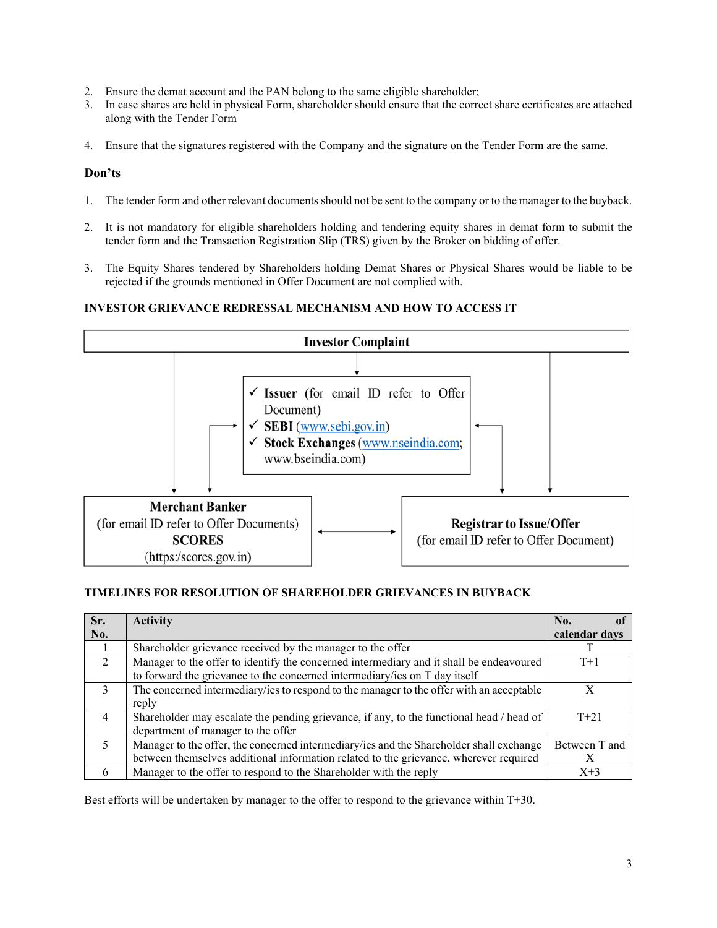- 2. Ensure the demat account and the PAN belong to the same eligible shareholder;
- 3. In case shares are held in physical Form, shareholder should ensure that the correct share certificates are attached along with the Tender Form
- 4. Ensure that the signatures registered with the Company and the signature on the Tender Form are the same.

## **Don'ts**

- 1. The tender form and other relevant documents should not be sent to the company or to the manager to the buyback.
- 2. It is not mandatory for eligible shareholders holding and tendering equity shares in demat form to submit the tender form and the Transaction Registration Slip (TRS) given by the Broker on bidding of offer.
- 3. The Equity Shares tendered by Shareholders holding Demat Shares or Physical Shares would be liable to be rejected if the grounds mentioned in Offer Document are not complied with.

# **INVESTOR GRIEVANCE REDRESSAL MECHANISM AND HOW TO ACCESS IT**



## **TIMELINES FOR RESOLUTION OF SHAREHOLDER GRIEVANCES IN BUYBACK**

| Sr.            | <b>Activity</b>                                                                          | No.           |
|----------------|------------------------------------------------------------------------------------------|---------------|
| No.            |                                                                                          | calendar days |
|                | Shareholder grievance received by the manager to the offer                               |               |
| 2              | Manager to the offer to identify the concerned intermediary and it shall be endeavoured  | $T+1$         |
|                | to forward the grievance to the concerned intermediary/ies on T day itself               |               |
| $\mathcal{E}$  | The concerned intermediary/ies to respond to the manager to the offer with an acceptable |               |
|                | reply                                                                                    |               |
| $\overline{4}$ | Shareholder may escalate the pending grievance, if any, to the functional head / head of | $T + 21$      |
|                | department of manager to the offer                                                       |               |
| .5             | Manager to the offer, the concerned intermediary/ies and the Shareholder shall exchange  | Between T and |
|                | between themselves additional information related to the grievance, wherever required    |               |
| 6              | Manager to the offer to respond to the Shareholder with the reply                        | $X+3$         |

Best efforts will be undertaken by manager to the offer to respond to the grievance within T+30.